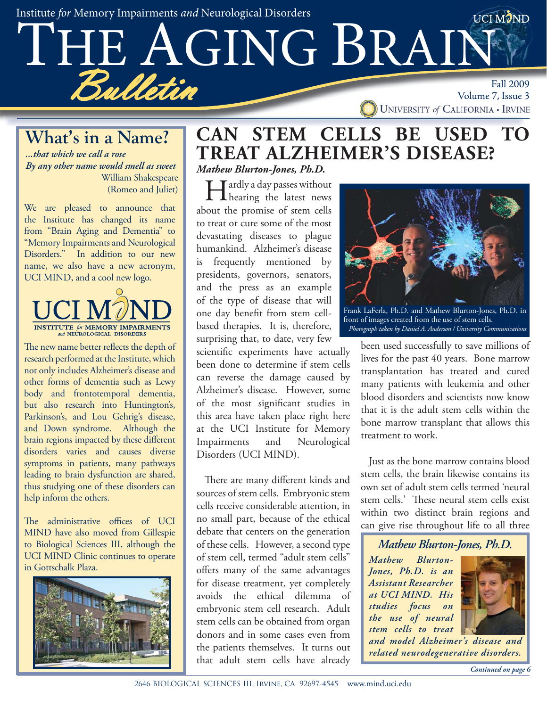Institute for Memory Impairments and Neurological Disorders



#### **What's in a Name?**

*...that which we call a rose By any other name would smell as sweet* William Shakespeare (Romeo and Juliet)

We are pleased to announce that the Institute has changed its name from "Brain Aging and Dementia" to "Memory Impairments and Neurological Disorders." In addition to our new name, we also have a new acronym, UCI MIND, and a cool new logo.



The new name better reflects the depth of research performed at the Institute, which not only includes Alzheimer's disease and other forms of dementia such as Lewy body and frontotemporal dementia, but also research into Huntington's, Parkinson's, and Lou Gehrig's disease, and Down syndrome. Although the brain regions impacted by these different disorders varies and causes diverse symptoms in patients, many pathways leading to brain dysfunction are shared, thus studying one of these disorders can help inform the others.

The administrative offices of UCI MIND have also moved from Gillespie to Biological Sciences III, although the UCI MIND Clinic continues to operate in Gottschalk Plaza.



#### **CAN STEM CELLS BE USED TO TREAT ALZHEIMER'S DISEASE?** *Mathew Blurton-Jones, Ph.D.*

Hardly a day passes without hearing the latest news about the promise of stem cells to treat or cure some of the most devastating diseases to plague humankind. Alzheimer's disease is frequently mentioned by presidents, governors, senators, and the press as an example of the type of disease that will one day benefit from stem cellbased therapies. It is, therefore, surprising that, to date, very few

scientific experiments have actually been done to determine if stem cells can reverse the damage caused by Alzheimer's disease. However, some of the most significant studies in this area have taken place right here at the UCI Institute for Memory Impairments and Neurological Disorders (UCI MIND).

There are many different kinds and sources of stem cells. Embryonic stem cells receive considerable attention, in no small part, because of the ethical debate that centers on the generation of these cells. However, a second type of stem cell, termed "adult stem cells" offers many of the same advantages for disease treatment, yet completely avoids the ethical dilemma of embryonic stem cell research. Adult stem cells can be obtained from organ donors and in some cases even from the patients themselves. It turns out that adult stem cells have already



been used successfully to save millions of lives for the past 40 years. Bone marrow transplantation has treated and cured many patients with leukemia and other blood disorders and scientists now know *Photograph taken by Daniel A. Anderson / University Communications*

that it is the adult stem cells within the bone marrow transplant that allows this treatment to work.

Just as the bone marrow contains blood stem cells, the brain likewise contains its own set of adult stem cells termed 'neural stem cells.' These neural stem cells exist within two distinct brain regions and can give rise throughout life to all three

#### *Mathew Blurton-Jones, Ph.D.*

*Mathew Blurton-Jones, Ph.D. is an Assistant Researcher at UCI MIND. His studies focus on the use of neural stem cells to treat* 



*and model Alzheimer's disease and related neurodegenerative disorders.*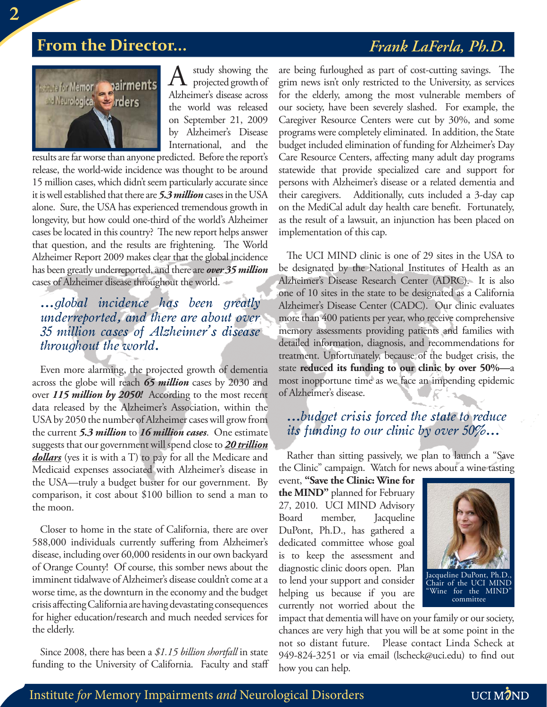#### **From the Director...** *Frank LaFerla, Ph.D.*



study showing the projected growth of Alzheimer's disease across the world was released on September 21, 2009 by Alzheimer's Disease International, and the

results are far worse than anyone predicted. Before the report's release, the world-wide incidence was thought to be around 15 million cases, which didn't seem particularly accurate since it is well established that there are *5.3 million* cases in the USA alone. Sure, the USA has experienced tremendous growth in longevity, but how could one-third of the world's Alzheimer cases be located in this country? The new report helps answer that question, and the results are frightening. The World Alzheimer Report 2009 makes clear that the global incidence has been greatly underreported, and there are *over 35 million* cases of Alzheimer disease throughout the world.

#### *...global incidence has been greatly underreported, and there are about over 35 million cases of Alzheimer's disease throughout the world.*

Even more alarming, the projected growth of dementia across the globe will reach *65 million* cases by 2030 and over *115 million by 2050!* According to the most recent data released by the Alzheimer's Association, within the USA by 2050 the number of Alzheimer cases will grow from the current *5.3 million* to *16 million cases*. One estimate suggests that our government will spend close to *20 trillion dollars* (yes it is with a T) to pay for all the Medicare and Medicaid expenses associated with Alzheimer's disease in the USA—truly a budget buster for our government. By comparison, it cost about \$100 billion to send a man to the moon.

Closer to home in the state of California, there are over 588,000 individuals currently suffering from Alzheimer's disease, including over 60,000 residents in our own backyard of Orange County! Of course, this somber news about the imminent tidalwave of Alzheimer's disease couldn't come at a worse time, as the downturn in the economy and the budget crisis affecting California are having devastating consequences for higher education/research and much needed services for the elderly.

Since 2008, there has been a *\$1.15 billion shortfall* in state funding to the University of California. Faculty and staff are being furloughed as part of cost-cutting savings. The grim news isn't only restricted to the University, as services for the elderly, among the most vulnerable members of our society, have been severely slashed. For example, the Caregiver Resource Centers were cut by 30%, and some programs were completely eliminated. In addition, the State budget included elimination of funding for Alzheimer's Day Care Resource Centers, affecting many adult day programs statewide that provide specialized care and support for persons with Alzheimer's disease or a related dementia and their caregivers. Additionally, cuts included a 3-day cap on the MediCal adult day health care benefit. Fortunately, as the result of a lawsuit, an injunction has been placed on implementation of this cap.

The UCI MIND clinic is one of 29 sites in the USA to be designated by the National Institutes of Health as an Alzheimer's Disease Research Center (ADRC). It is also one of 10 sites in the state to be designated as a California Alzheimer's Disease Center (CADC). Our clinic evaluates more than 400 patients per year, who receive comprehensive memory assessments providing patients and families with detailed information, diagnosis, and recommendations for treatment. Unfortunately, because of the budget crisis, the state **reduced its funding to our clinic by over 50%—**a most inopportune time as we face an impending epidemic of Alzheimer's disease.

#### *...budget crisis forced the state to reduce its funding to our clinic by over 50%...*

Rather than sitting passively, we plan to launch a "Save the Clinic" campaign. Watch for news about a wine tasting

event, **"Save the Clinic: Wine for the MIND"** planned for February 27, 2010. UCI MIND Advisory Board member, Jacqueline DuPont, Ph.D., has gathered a dedicated committee whose goal is to keep the assessment and diagnostic clinic doors open. Plan to lend your support and consider helping us because if you are currently not worried about the



impact that dementia will have on your family or our society, chances are very high that you will be at some point in the not so distant future. Please contact Linda Scheck at 949-824-3251 or via email (lscheck@uci.edu) to find out how you can help.

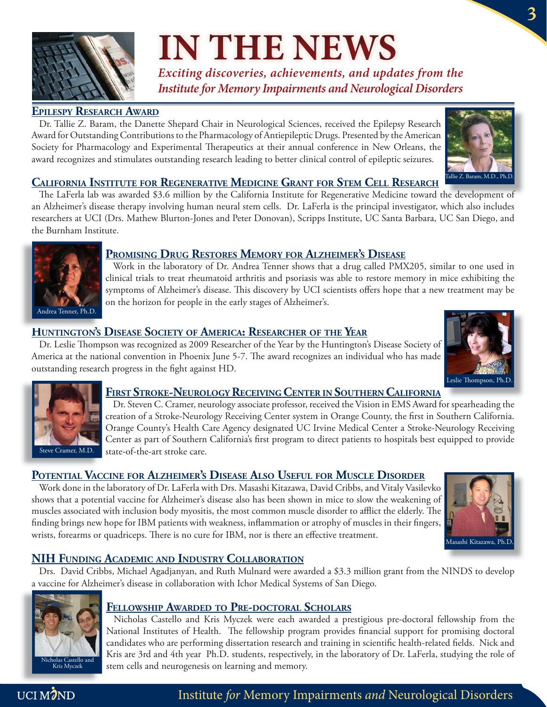

# **IN THE NEWS**

*Exciting discoveries, achievements, and updates from the Institute for Memory Impairments and Neurological Disorders*

#### **EPILESPY RESEARCH AWARD**

Dr. Tallie Z. Baram, the Danette Shepard Chair in Neurological Sciences, received the Epilepsy Research Award for Outstanding Contributions to the Pharmacology of Antiepileptic Drugs. Presented by the American Society for Pharmacology and Experimental Therapeutics at their annual conference in New Orleans, the award recognizes and stimulates outstanding research leading to better clinical control of epileptic seizures.



**3**

#### **CALIFORNIA INSTITUTE FOR REGENERATIVE MEDICINE GRANT FOR STEM CELL RESEARCH**

The LaFerla lab was awarded \$3.6 million by the California Institute for Regenerative Medicine toward the development of an Alzheimer's disease therapy involving human neural stem cells. Dr. LaFerla is the principal investigator, which also includes researchers at UCI (Drs. Mathew Blurton-Jones and Peter Donovan), Scripps Institute, UC Santa Barbara, UC San Diego, and the Burnham Institute.



#### **PROMISING DRUG RESTORES MEMORY FOR ALZHEIMER'S DISEASE**

Work in the laboratory of Dr. Andrea Tenner shows that a drug called PMX205, similar to one used in clinical trials to treat rheumatoid arthritis and psoriasis was able to restore memory in mice exhibiting the symptoms of Alzheimer's disease. This discovery by UCI scientists offers hope that a new treatment may be on the horizon for people in the early stages of Alzheimer's.

#### **HUNTINGTON'S DISEASE SOCIETY OF AMERICA: RESEARCHER OF THE YEAR '**

Dr. Leslie Thompson was recognized as 2009 Researcher of the Year by the Huntington's Disease Society of America at the national convention in Phoenix June 5-7. The award recognizes an individual who has made outstanding research progress in the fight against HD.





#### **FIRST STROKE-NEUROLOGY RECEIVING CENTER IN SOUTHERN CALIFORNIA**

Dr. Steven C. Cramer, neurology associate professor, received the Vision in EMS Award for spearheading the creation of a Stroke-Neurology Receiving Center system in Orange County, the first in Southern California. Orange County's Health Care Agency designated UC Irvine Medical Center a Stroke-Neurology Receiving Center as part of Southern California's first program to direct patients to hospitals best equipped to provide state-of-the-art stroke care.

#### **POTENTIAL VACCINE FOR ALZHEIMER'S DISEASE ALSO USEFUL FOR MUSCLE DISORDER**

Work done in the laboratory of Dr. LaFerla with Drs. Masashi Kitazawa, David Cribbs, and Vitaly Vasilevko shows that a potential vaccine for Alzheimer's disease also has been shown in mice to slow the weakening of muscles associated with inclusion body myositis, the most common muscle disorder to afflict the elderly. The finding brings new hope for IBM patients with weakness, inflammation or atrophy of muscles in their fingers, wrists, forearms or quadriceps. There is no cure for IBM, nor is there an effective treatment.



#### **NIH FUNDING ACADEMIC AND INDUSTRY COLLABORATION**

Drs. David Cribbs, Michael Agadjanyan, and Ruth Mulnard were awarded a \$3.3 million grant from the NINDS to develop a vaccine for Alzheimer's disease in collaboration with Ichor Medical Systems of San Diego.



#### **FELLOWSHIP AWARDED TO PRE-DOCTORAL SCHOLARS**

Nicholas Castello and Kris Myczek were each awarded a prestigious pre-doctoral fellowship from the National Institutes of Health. The fellowship program provides financial support for promising doctoral candidates who are performing dissertation research and training in scientific health-related fields. Nick and Kris are 3rd and 4th year Ph.D. students, respectively, in the laboratory of Dr. LaFerla, studying the role of stem cells and neurogenesis on learning and memory.

#### UCI MOND

Institute for Memory Impairments and Neurological Disorders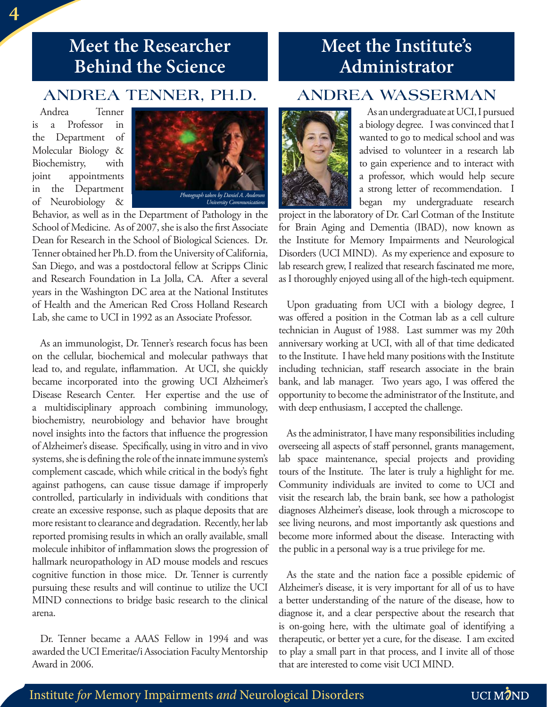#### **Meet the Researcher Behind the Science**

#### **ANDREA TENNER, PH.D.**

Andrea Tenner is a Professor in the Department of Molecular Biology & Biochemistry, with joint appointments in the Department of Neurobiology &



Behavior, as well as in the Department of Pathology in the School of Medicine. As of 2007, she is also the first Associate Dean for Research in the School of Biological Sciences. Dr. Tenner obtained her Ph.D. from the University of California, San Diego, and was a postdoctoral fellow at Scripps Clinic and Research Foundation in La Jolla, CA. After a several years in the Washington DC area at the National Institutes of Health and the American Red Cross Holland Research Lab, she came to UCI in 1992 as an Associate Professor.

As an immunologist, Dr. Tenner's research focus has been on the cellular, biochemical and molecular pathways that lead to, and regulate, inflammation. At UCI, she quickly became incorporated into the growing UCI Alzheimer's Disease Research Center. Her expertise and the use of a multidisciplinary approach combining immunology, biochemistry, neurobiology and behavior have brought novel insights into the factors that influence the progression of Alzheimer's disease. Specifically, using in vitro and in vivo systems, she is defining the role of the innate immune system's complement cascade, which while critical in the body's fight against pathogens, can cause tissue damage if improperly controlled, particularly in individuals with conditions that create an excessive response, such as plaque deposits that are more resistant to clearance and degradation. Recently, her lab reported promising results in which an orally available, small molecule inhibitor of inflammation slows the progression of hallmark neuropathology in AD mouse models and rescues cognitive function in those mice. Dr. Tenner is currently pursuing these results and will continue to utilize the UCI MIND connections to bridge basic research to the clinical arena.

Dr. Tenner became a AAAS Fellow in 1994 and was awarded the UCI Emeritae/i Association Faculty Mentorship Award in 2006.

#### **Meet the Institute's Administrator**

#### **ANDREA WASSERMAN**



As an undergraduate at UCI, I pursued a biology degree. I was convinced that I wanted to go to medical school and was advised to volunteer in a research lab to gain experience and to interact with a professor, which would help secure a strong letter of recommendation. I began my undergraduate research

project in the laboratory of Dr. Carl Cotman of the Institute for Brain Aging and Dementia (IBAD), now known as the Institute for Memory Impairments and Neurological Disorders (UCI MIND). As my experience and exposure to lab research grew, I realized that research fascinated me more, as I thoroughly enjoyed using all of the high-tech equipment.

Upon graduating from UCI with a biology degree, I was offered a position in the Cotman lab as a cell culture technician in August of 1988. Last summer was my 20th anniversary working at UCI, with all of that time dedicated to the Institute. I have held many positions with the Institute including technician, staff research associate in the brain bank, and lab manager. Two years ago, I was offered the opportunity to become the administrator of the Institute, and with deep enthusiasm, I accepted the challenge.

As the administrator, I have many responsibilities including overseeing all aspects of staff personnel, grants management, lab space maintenance, special projects and providing tours of the Institute. The later is truly a highlight for me. Community individuals are invited to come to UCI and visit the research lab, the brain bank, see how a pathologist diagnoses Alzheimer's disease, look through a microscope to see living neurons, and most importantly ask questions and become more informed about the disease. Interacting with the public in a personal way is a true privilege for me.

As the state and the nation face a possible epidemic of Alzheimer's disease, it is very important for all of us to have a better understanding of the nature of the disease, how to diagnose it, and a clear perspective about the research that is on-going here, with the ultimate goal of identifying a therapeutic, or better yet a cure, for the disease. I am excited to play a small part in that process, and I invite all of those that are interested to come visit UCI MIND.

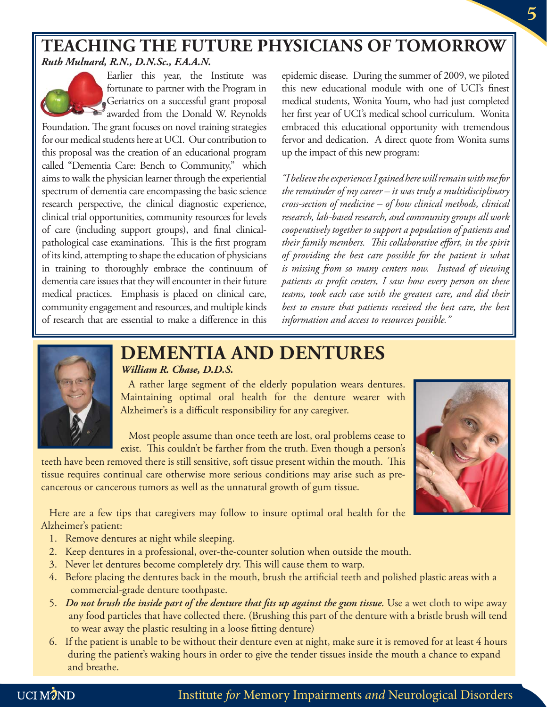#### **TEACHING THE FUTURE PHYSICIANS OF TOMORROW** *Ruth Mulnard, R.N., D.N.Sc., F.A.A.N.*



Earlier this year, the Institute was fortunate to partner with the Program in Geriatrics on a successful grant proposal awarded from the Donald W. Reynolds

Foundation. The grant focuses on novel training strategies for our medical students here at UCI. Our contribution to this proposal was the creation of an educational program called "Dementia Care: Bench to Community," which aims to walk the physician learner through the experiential spectrum of dementia care encompassing the basic science research perspective, the clinical diagnostic experience, clinical trial opportunities, community resources for levels of care (including support groups), and final clinicalpathological case examinations. This is the first program of its kind, attempting to shape the education of physicians in training to thoroughly embrace the continuum of dementia care issues that they will encounter in their future medical practices. Emphasis is placed on clinical care, community engagement and resources, and multiple kinds of research that are essential to make a difference in this

epidemic disease. During the summer of 2009, we piloted this new educational module with one of UCI's finest medical students, Wonita Youm, who had just completed her first year of UCI's medical school curriculum. Wonita embraced this educational opportunity with tremendous fervor and dedication. A direct quote from Wonita sums up the impact of this new program:

*"I believe the experiences I gained here will remain with me for the remainder of my career – it was truly a multidisciplinary cross-section of medicine – of how clinical methods, clinical research, lab-based research, and community groups all work cooperatively together to support a population of patients and*  their family members. This collaborative effort, in the spirit *of providing the best care possible for the patient is what is missing from so many centers now. Instead of viewing patients as profi t centers, I saw how every person on these teams, took each case with the greatest care, and did their best to ensure that patients received the best care, the best information and access to resources possible."* 



#### **DEMENTIA AND DENTURES** *William R. Chase, D.D.S.*

A rather large segment of the elderly population wears dentures. Maintaining optimal oral health for the denture wearer with Alzheimer's is a difficult responsibility for any caregiver.

Most people assume than once teeth are lost, oral problems cease to exist. This couldn't be farther from the truth. Even though a person's

teeth have been removed there is still sensitive, soft tissue present within the mouth. This tissue requires continual care otherwise more serious conditions may arise such as precancerous or cancerous tumors as well as the unnatural growth of gum tissue.

Here are a few tips that caregivers may follow to insure optimal oral health for the Alzheimer's patient:

- 1. Remove dentures at night while sleeping.
- 2. Keep dentures in a professional, over-the-counter solution when outside the mouth.
- 3. Never let dentures become completely dry. This will cause them to warp.
- 4. Before placing the dentures back in the mouth, brush the artificial teeth and polished plastic areas with a commercial-grade denture toothpaste.
- 5. *Do not brush the inside part of the denture that fits up against the gum tissue*. Use a wet cloth to wipe away any food particles that have collected there. (Brushing this part of the denture with a bristle brush will tend to wear away the plastic resulting in a loose fitting denture)
- 6. If the patient is unable to be without their denture even at night, make sure it is removed for at least 4 hours during the patient's waking hours in order to give the tender tissues inside the mouth a chance to expand and breathe.

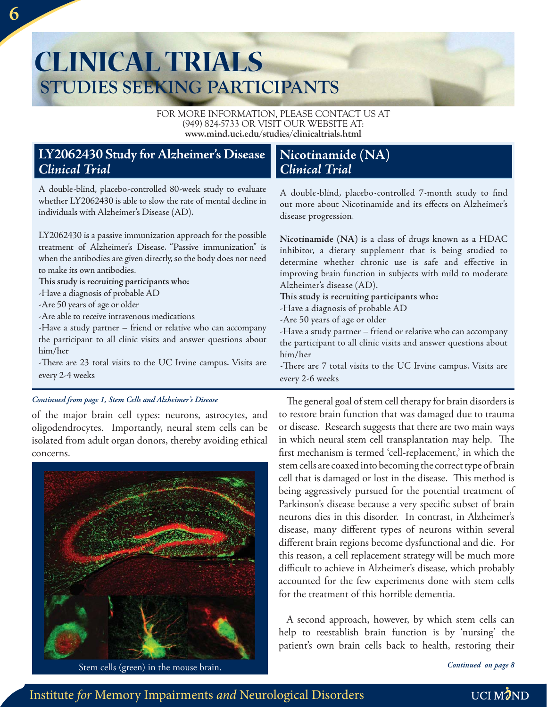## **CLINICAL TRIALS STUDIES SEEKING PARTICIPANTS**

FOR MORE INFORMATION, PLEASE CONTACT US AT (949) 824-5733 OR VISIT OUR WEBSITE AT: **www.mind.uci.edu/studies/clinicaltrials.html**

#### **LY2062430 Study for Alzheimer's Disease**  *Clinical Trial*

A double-blind, placebo-controlled 80-week study to evaluate whether LY2062430 is able to slow the rate of mental decline in individuals with Alzheimer's Disease (AD).

LY2062430 is a passive immunization approach for the possible treatment of Alzheimer's Disease. "Passive immunization" is when the antibodies are given directly, so the body does not need to make its own antibodies.

This study is recruiting participants who:

-Have a diagnosis of probable AD

-Are 50 years of age or older

-Are able to receive intravenous medications

-Have a study partner – friend or relative who can accompany the participant to all clinic visits and answer questions about him/her

-There are 23 total visits to the UC Irvine campus. Visits are every 2-4 weeks

#### *Continued from page 1, Stem Cells and Alzheimer's Disease*

of the major brain cell types: neurons, astrocytes, and oligodendrocytes. Importantly, neural stem cells can be isolated from adult organ donors, thereby avoiding ethical concerns.



Stem cells (green) in the mouse brain. *Continued on page 8*

#### **Nicotinamide (NA)** *Clinical Trial*

A double-blind, placebo-controlled 7-month study to find out more about Nicotinamide and its effects on Alzheimer's disease progression.

**Nicotinamide (NA)** is a class of drugs known as a HDAC inhibitor, a dietary supplement that is being studied to determine whether chronic use is safe and effective in improving brain function in subjects with mild to moderate Alzheimer's disease (AD).

This study is recruiting participants who:

-Have a diagnosis of probable AD

-Are 50 years of age or older

-Have a study partner – friend or relative who can accompany the participant to all clinic visits and answer questions about him/her

-There are 7 total visits to the UC Irvine campus. Visits are every 2-6 weeks

The general goal of stem cell therapy for brain disorders is to restore brain function that was damaged due to trauma or disease. Research suggests that there are two main ways in which neural stem cell transplantation may help. The first mechanism is termed 'cell-replacement,' in which the stem cells are coaxed into becoming the correct type of brain cell that is damaged or lost in the disease. This method is being aggressively pursued for the potential treatment of Parkinson's disease because a very specific subset of brain neurons dies in this disorder. In contrast, in Alzheimer's disease, many different types of neurons within several different brain regions become dysfunctional and die. For this reason, a cell replacement strategy will be much more difficult to achieve in Alzheimer's disease, which probably accounted for the few experiments done with stem cells for the treatment of this horrible dementia.

A second approach, however, by which stem cells can help to reestablish brain function is by 'nursing' the patient's own brain cells back to health, restoring their

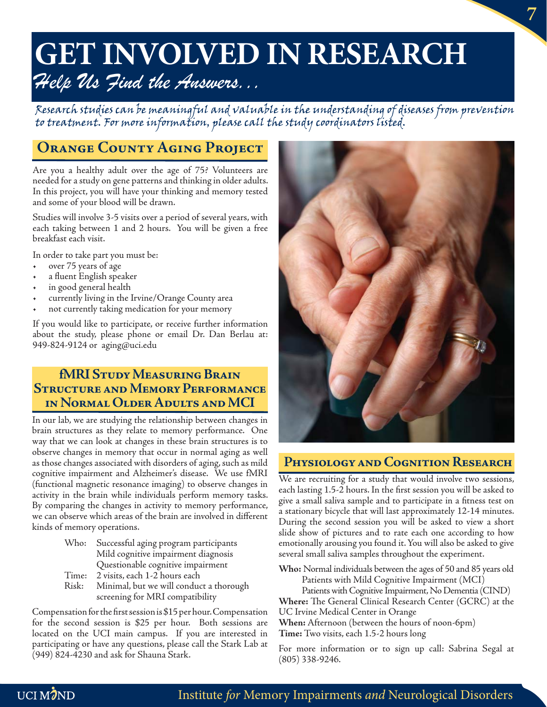# Help Us Find the Answers...

Research studies can be meaningful and valuable in the understanding of diseases from prevention to treatment. For more information, please call the study coordinators listed.

#### **ORANGE COUNTY AGING PROJECT**

Are you a healthy adult over the age of 75? Volunteers are needed for a study on gene patterns and thinking in older adults. In this project, you will have your thinking and memory tested and some of your blood will be drawn.

Studies will involve 3-5 visits over a period of several years, with each taking between 1 and 2 hours. You will be given a free breakfast each visit.

In order to take part you must be:

- over 75 years of age
- a fluent English speaker
- in good general health
- currently living in the Irvine/Orange County area
- not currently taking medication for your memory

If you would like to participate, or receive further information about the study, please phone or email Dr. Dan Berlau at: 949-824-9124 or aging@uci.edu

#### **fMRI Study Measuring Brain Structure and Memory Performance in Normal Older Adults and MCI**

In our lab, we are studying the relationship between changes in brain structures as they relate to memory performance. One way that we can look at changes in these brain structures is to observe changes in memory that occur in normal aging as well as those changes associated with disorders of aging, such as mild cognitive impairment and Alzheimer's disease. We use fMRI (functional magnetic resonance imaging) to observe changes in activity in the brain while individuals perform memory tasks. By comparing the changes in activity to memory performance, we can observe which areas of the brain are involved in different kinds of memory operations.

- Who: Successful aging program participants Mild cognitive impairment diagnosis Questionable cognitive impairment
- Time: 2 visits, each 1-2 hours each
- Risk: Minimal, but we will conduct a thorough screening for MRI compatibility

Compensation for the first session is \$15 per hour. Compensation for the second session is \$25 per hour. Both sessions are located on the UCI main campus. If you are interested in participating or have any questions, please call the Stark Lab at (949) 824-4230 and ask for Shauna Stark.



#### **Physiology and Cognition Research**

We are recruiting for a study that would involve two sessions, each lasting 1.5-2 hours. In the first session you will be asked to give a small saliva sample and to participate in a fitness test on a stationary bicycle that will last approximately 12-14 minutes. During the second session you will be asked to view a short slide show of pictures and to rate each one according to how emotionally arousing you found it. You will also be asked to give several small saliva samples throughout the experiment.

**Who:** Normal individuals between the ages of 50 and 85 years old Patients with Mild Cognitive Impairment (MCI)

 Patients with Cognitive Impairment, No Dementia (CIND) **Where:** The General Clinical Research Center (GCRC) at the UC Irvine Medical Center in Orange

**When:** Afternoon (between the hours of noon-6pm) **Time:** Two visits, each 1.5-2 hours long

For more information or to sign up call: Sabrina Segal at (805) 338-9246.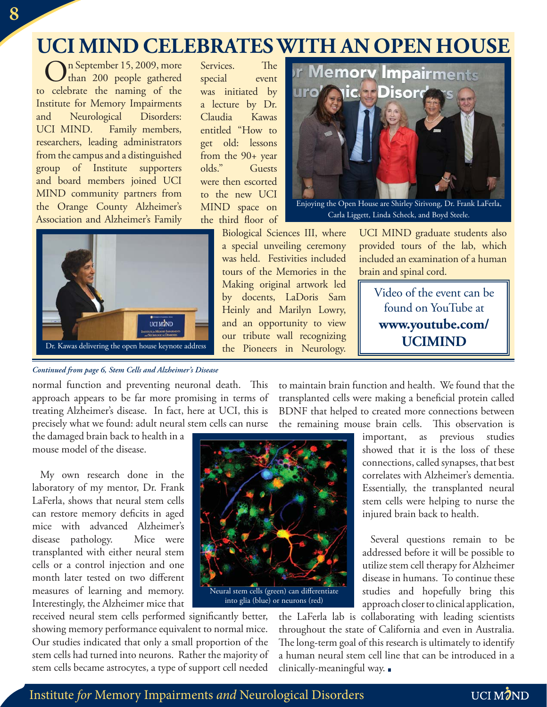### **UCI MIND CELEBRATES WITH AN OPEN HOUSE**

On September 15, 2009, more than 200 people gathered to celebrate the naming of the Institute for Memory Impairments and Neurological Disorders: UCI MIND. Family members, researchers, leading administrators from the campus and a distinguished group of Institute supporters and board members joined UCI MIND community partners from the Orange County Alzheimer's Association and Alzheimer's Family



Services. The special event was initiated by a lecture by Dr. Claudia Kawas entitled "How to get old: lessons from the 90+ year olds." Guests were then escorted to the new UCI MIND space on the third floor of

> Biological Sciences III, where a special unveiling ceremony was held. Festivities included tours of the Memories in the Making original artwork led by docents, LaDoris Sam Heinly and Marilyn Lowry, and an opportunity to view our tribute wall recognizing the Pioneers in Neurology.



Enjoying the Open House are Shirley Sirivong, Dr. Frank LaFerla, Carla Liggett, Linda Scheck, and Boyd Steele.

UCI MIND graduate students also provided tours of the lab, which included an examination of a human brain and spinal cord.

Video of the event can be found on YouTube at **www.youtube.com/ UCIMIND**

#### *Continued from page 6, Stem Cells and Alzheimer's Disease*

normal function and preventing neuronal death. This approach appears to be far more promising in terms of treating Alzheimer's disease. In fact, here at UCI, this is precisely what we found: adult neural stem cells can nurse

to maintain brain function and health. We found that the transplanted cells were making a beneficial protein called BDNF that helped to created more connections between the remaining mouse brain cells. This observation is

the damaged brain back to health in a mouse model of the disease.

My own research done in the laboratory of my mentor, Dr. Frank LaFerla, shows that neural stem cells can restore memory deficits in aged mice with advanced Alzheimer's disease pathology. Mice were transplanted with either neural stem cells or a control injection and one month later tested on two different measures of learning and memory. Interestingly, the Alzheimer mice that



received neural stem cells performed significantly better, showing memory performance equivalent to normal mice. Our studies indicated that only a small proportion of the stem cells had turned into neurons. Rather the majority of stem cells became astrocytes, a type of support cell needed

important, as previous studies showed that it is the loss of these connections, called synapses, that best correlates with Alzheimer's dementia. Essentially, the transplanted neural stem cells were helping to nurse the injured brain back to health.

Several questions remain to be addressed before it will be possible to utilize stem cell therapy for Alzheimer disease in humans. To continue these studies and hopefully bring this approach closer to clinical application,

the LaFerla lab is collaborating with leading scientists throughout the state of California and even in Australia. The long-term goal of this research is ultimately to identify a human neural stem cell line that can be introduced in a clinically-meaningful way.

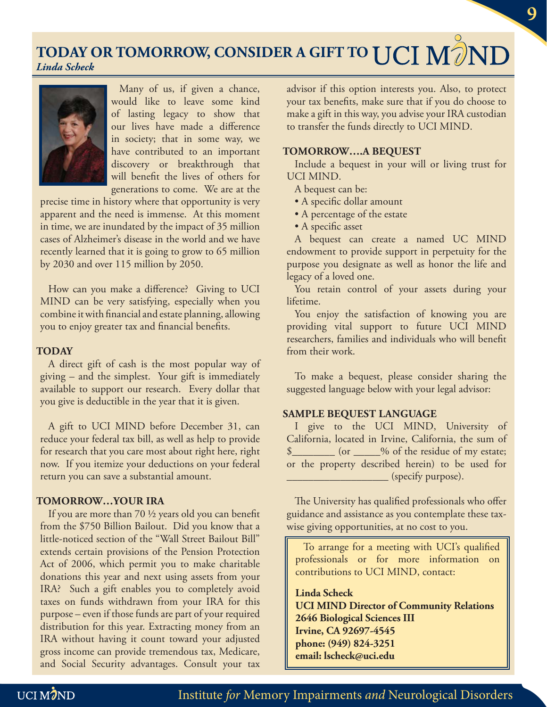**TODAY OR TOMORROW, CONSIDER A GIFT TO**  *Linda Scheck*



Many of us, if given a chance, would like to leave some kind of lasting legacy to show that our lives have made a difference in society; that in some way, we have contributed to an important discovery or breakthrough that will benefit the lives of others for generations to come. We are at the

precise time in history where that opportunity is very apparent and the need is immense. At this moment in time, we are inundated by the impact of 35 million cases of Alzheimer's disease in the world and we have recently learned that it is going to grow to 65 million by 2030 and over 115 million by 2050.

How can you make a difference? Giving to UCI MIND can be very satisfying, especially when you combine it with financial and estate planning, allowing you to enjoy greater tax and financial benefits.

#### **TODAY**

A direct gift of cash is the most popular way of giving – and the simplest. Your gift is immediately available to support our research. Every dollar that you give is deductible in the year that it is given.

A gift to UCI MIND before December 31, can reduce your federal tax bill, as well as help to provide for research that you care most about right here, right now. If you itemize your deductions on your federal return you can save a substantial amount.

#### **TOMORROW…YOUR IRA**

If you are more than 70  $\frac{1}{2}$  years old you can benefit from the \$750 Billion Bailout. Did you know that a little-noticed section of the "Wall Street Bailout Bill" extends certain provisions of the Pension Protection Act of 2006, which permit you to make charitable donations this year and next using assets from your IRA? Such a gift enables you to completely avoid taxes on funds withdrawn from your IRA for this purpose – even if those funds are part of your required distribution for this year. Extracting money from an IRA without having it count toward your adjusted gross income can provide tremendous tax, Medicare, and Social Security advantages. Consult your tax

advisor if this option interests you. Also, to protect your tax benefits, make sure that if you do choose to make a gift in this way, you advise your IRA custodian to transfer the funds directly to UCI MIND.

#### **TOMORROW….A BEQUEST**

Include a bequest in your will or living trust for UCI MIND.

- A bequest can be:
- A specific dollar amount
- A percentage of the estate
- A specific asset

A bequest can create a named UC MIND endowment to provide support in perpetuity for the purpose you designate as well as honor the life and legacy of a loved one.

You retain control of your assets during your lifetime.

You enjoy the satisfaction of knowing you are providing vital support to future UCI MIND researchers, families and individuals who will benefit from their work.

To make a bequest, please consider sharing the suggested language below with your legal advisor:

#### **SAMPLE BEQUEST LANGUAGE**

I give to the UCI MIND, University of California, located in Irvine, California, the sum of \$\_\_\_\_\_\_\_\_ (or \_\_\_\_\_% of the residue of my estate; or the property described herein) to be used for  $\frac{1}{\sqrt{2\pi}}$  (specify purpose).

The University has qualified professionals who offer guidance and assistance as you contemplate these taxwise giving opportunities, at no cost to you.

To arrange for a meeting with UCI's qualified professionals or for more information on contributions to UCI MIND, contact:

#### **Linda Scheck**

**UCI MIND Director of Community Relations 2646 Biological Sciences III Irvine, CA 92697-4545 phone: (949) 824-3251 email: lscheck@uci.edu**

Institute for Memory Impairments and Neurological Disorders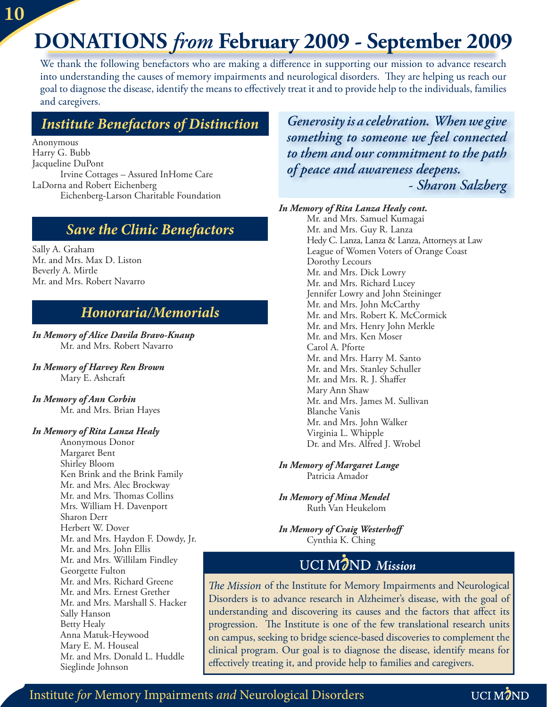# **DONATIONS** *from* **February 2009 - September 2009**

We thank the following benefactors who are making a difference in supporting our mission to advance research into understanding the causes of memory impairments and neurological disorders. They are helping us reach our goal to diagnose the disease, identify the means to effectively treat it and to provide help to the individuals, families and caregivers.

#### *Institute Benefactors of Distinction*

Anonymous Harry G. Bubb Jacqueline DuPont Irvine Cottages – Assured InHome Care LaDorna and Robert Eichenberg Eichenberg-Larson Charitable Foundation

#### *Save the Clinic Benefactors*

Sally A. Graham Mr. and Mrs. Max D. Liston Beverly A. Mirtle Mr. and Mrs. Robert Navarro

#### *Honoraria/Memorials*

*In Memory of Alice Davila Bravo-Knaup* Mr. and Mrs. Robert Navarro

- *In Memory of Harvey Ren Brown* Mary E. Ashcraft
- *In Memory of Ann Corbin* Mr. and Mrs. Brian Hayes

#### *In Memory of Rita Lanza Healy*

Anonymous Donor Margaret Bent Shirley Bloom Ken Brink and the Brink Family Mr. and Mrs. Alec Brockway Mr. and Mrs. Thomas Collins Mrs. William H. Davenport Sharon Derr Herbert W. Dover Mr. and Mrs. Haydon F. Dowdy, Jr. Mr. and Mrs. John Ellis Mr. and Mrs. Willilam Findley Georgette Fulton Mr. and Mrs. Richard Greene Mr. and Mrs. Ernest Grether Mr. and Mrs. Marshall S. Hacker Sally Hanson Betty Healy Anna Matuk-Heywood Mary E. M. Houseal Mr. and Mrs. Donald L. Huddle Sieglinde Johnson

*Generosity is a celebration. When we give something to someone we feel connected to them and our commitment to the path of peace and awareness deepens. - Sharon Salzberg* 

#### *In Memory of Rita Lanza Healy cont.*

Mr. and Mrs. Samuel Kumagai Mr. and Mrs. Guy R. Lanza Hedy C. Lanza, Lanza & Lanza, Attorneys at Law League of Women Voters of Orange Coast Dorothy Lecours Mr. and Mrs. Dick Lowry Mr. and Mrs. Richard Lucey Jennifer Lowry and John Steininger Mr. and Mrs. John McCarthy Mr. and Mrs. Robert K. McCormick Mr. and Mrs. Henry John Merkle Mr. and Mrs. Ken Moser Carol A. Pforte Mr. and Mrs. Harry M. Santo Mr. and Mrs. Stanley Schuller Mr. and Mrs. R. J. Shaffer Mary Ann Shaw Mr. and Mrs. James M. Sullivan Blanche Vanis Mr. and Mrs. John Walker Virginia L. Whipple Dr. and Mrs. Alfred J. Wrobel

*In Memory of Margaret Lange* Patricia Amador

*In Memory of Mina Mendel* Ruth Van Heukelom

*In Memory of Craig Westerhoff* Cynthia K. Ching

#### *Mission*

The Mission of the Institute for Memory Impairments and Neurological Disorders is to advance research in Alzheimer's disease, with the goal of understanding and discovering its causes and the factors that affect its progression. The Institute is one of the few translational research units on campus, seeking to bridge science-based discoveries to complement the clinical program. Our goal is to diagnose the disease, identify means for effectively treating it, and provide help to families and caregivers.

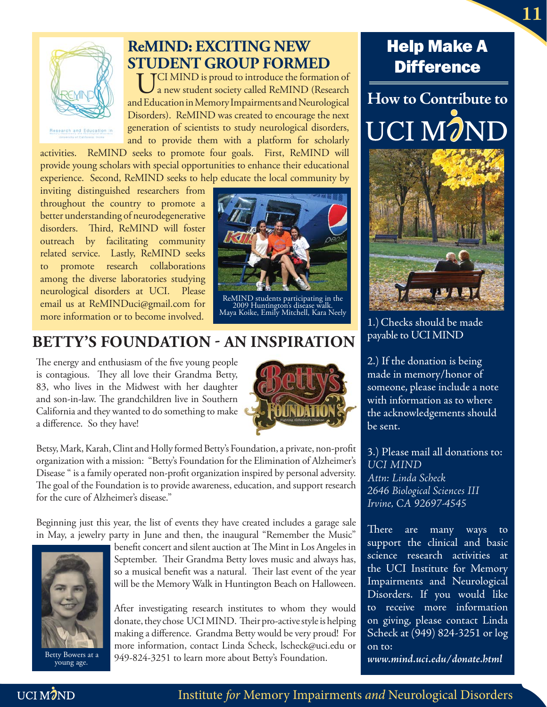

#### **ReMIND: EXCITING NEW STUDENT GROUP FORMED**

TCI MIND is proud to introduce the formation of a new student society called ReMIND (Research and Education in Memory Impairments and Neurological Disorders). ReMIND was created to encourage the next generation of scientists to study neurological disorders, and to provide them with a platform for scholarly

activities. ReMIND seeks to promote four goals. First, ReMIND will provide young scholars with special opportunities to enhance their educational experience. Second, ReMIND seeks to help educate the local community by

inviting distinguished researchers from throughout the country to promote a better understanding of neurodegenerative disorders. Third, ReMIND will foster outreach by facilitating community related service. Lastly, ReMIND seeks to promote research collaborations among the diverse laboratories studying neurological disorders at UCI. Please email us at ReMINDuci@gmail.com for more information or to become involved.



ReMIND students participating in the 2009 Huntington's disease walk. Maya Koike, Emily Mitchell, Kara Neely

#### **BETTY'S FOUNDATION - AN INSPIRATION**

The energy and enthusiasm of the five young people is contagious. They all love their Grandma Betty, 83, who lives in the Midwest with her daughter and son-in-law. The grandchildren live in Southern California and they wanted to do something to make a difference. So they have!



Betsy, Mark, Karah, Clint and Holly formed Betty's Foundation, a private, non-profit organization with a mission: "Betty's Foundation for the Elimination of Alzheimer's Disease " is a family operated non-profit organization inspired by personal adversity. The goal of the Foundation is to provide awareness, education, and support research for the cure of Alzheimer's disease."

Beginning just this year, the list of events they have created includes a garage sale in May, a jewelry party in June and then, the inaugural "Remember the Music"



young age.

benefit concert and silent auction at The Mint in Los Angeles in September. Their Grandma Betty loves music and always has, so a musical benefit was a natural. Their last event of the year will be the Memory Walk in Huntington Beach on Halloween.

After investigating research institutes to whom they would donate, they chose UCI MIND. Their pro-active style is helping making a difference. Grandma Betty would be very proud! For more information, contact Linda Scheck, lscheck@uci.edu or Betty Bowers at a  $949-824-3251$  to learn more about Betty's Foundation.

#### Help Make A **Difference**

**How to Contribute to** UCI M7N



1.)Checks should be made payable to UCI MIND

2.) If the donation is being made in memory/honor of someone, please include a note with information as to where the acknowledgements should be sent.

3.) Please mail all donations to: *UCI MIND Attn: Linda Scheck 2646 Biological Sciences III Irvine, CA 92697-4545*

There are many ways to support the clinical and basic science research activities at the UCI Institute for Memory Impairments and Neurological Disorders. If you would like to receive more information on giving, please contact Linda Scheck at (949) 824-3251 or log on to:

*www.mind.uci.edu/donate.html*